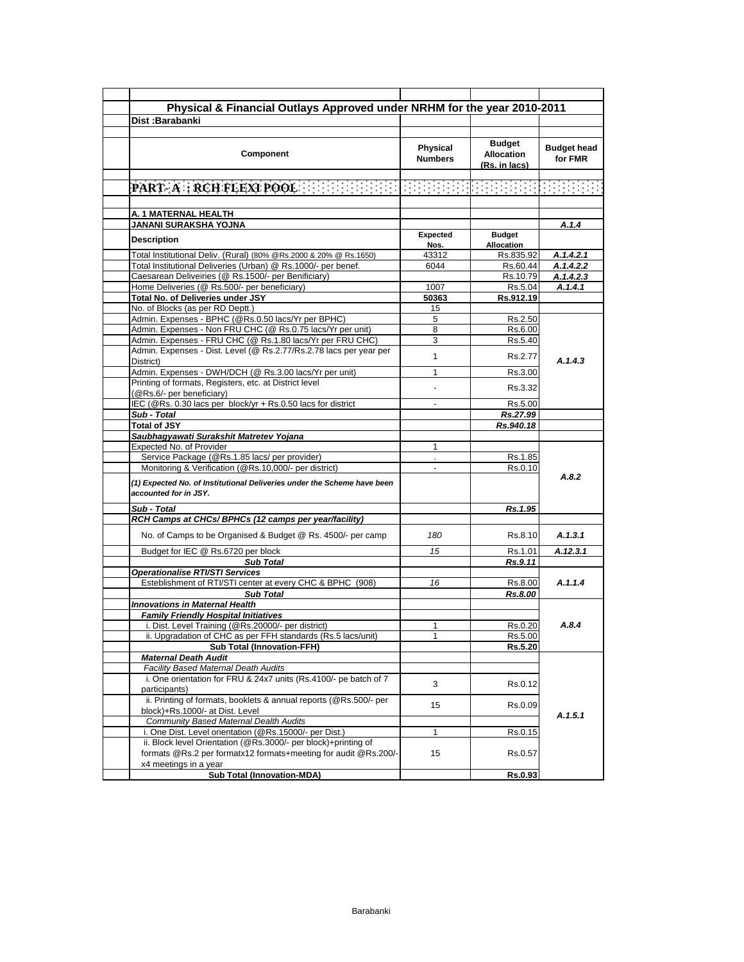| Dist:Barabanki<br>Budget<br><b>Physical</b><br>Component<br><b>Allocation</b><br><b>Numbers</b><br>(Rs. in lacs)<br>Expected<br><b>Budget</b><br><b>Allocation</b><br>Nos.<br>43312<br>Rs.835.92<br>6044<br>Rs.60.44<br>Rs.10.79<br>Rs.5.04<br>1007<br>Rs.912.19<br>50363<br>15<br>5<br>Rs.2.50<br>8<br>Rs.6.00<br>3<br>Rs.5.40<br>1<br>Rs.2.77<br>1<br>Rs.3.00<br>Rs.3.32<br>Rs.5.00<br>÷<br>Rs.27.99<br>Rs.940.18<br>1<br>Service Package (@Rs.1.85 lacs/ per provider)<br>Rs.1.85<br>Monitoring & Verification (@Rs.10,000/- per district)<br>Rs.0.10<br>$\overline{a}$<br>Rs.1.95<br>No. of Camps to be Organised & Budget @ Rs. 4500/- per camp<br>180<br>Rs.8.10<br>Budget for IEC @ Rs.6720 per block<br>15<br>Rs.1.01<br><b>Sub Total</b><br>Rs.9.11<br>Esteblishment of RTI/STI center at every CHC & BPHC (908)<br>16<br>Rs.8.00<br><b>Sub Total</b><br>Rs.8.00<br><b>Family Friendly Hospital Initiatives</b><br>i. Dist. Level Training (@Rs.20000/- per district)<br>1<br>Rs.0.20<br>ii. Upgradation of CHC as per FFH standards (Rs.5 lacs/unit)<br>Rs.5.00<br><b>Sub Total (Innovation-FFH)</b><br>Rs.5.20<br><b>Maternal Death Audit</b><br><b>Facility Based Maternal Death Audits</b><br>i. One orientation for FRU & 24x7 units (Rs.4100/- pe batch of 7<br>3<br>Rs.0.12<br>participants)<br>ii. Printing of formats, booklets & annual reports (@Rs.500/- per<br>15<br>Rs.0.09<br>block)+Rs.1000/- at Dist. Level<br>Community Based Maternal Dealth Audits<br>i. One Dist. Level orientation (@Rs.15000/- per Dist.)<br>1<br>Rs.0.15<br>ii. Block level Orientation (@Rs.3000/- per block)+printing of<br>15 | Physical & Financial Outlays Approved under NRHM for the year 2010-2011 |         |                    |
|-----------------------------------------------------------------------------------------------------------------------------------------------------------------------------------------------------------------------------------------------------------------------------------------------------------------------------------------------------------------------------------------------------------------------------------------------------------------------------------------------------------------------------------------------------------------------------------------------------------------------------------------------------------------------------------------------------------------------------------------------------------------------------------------------------------------------------------------------------------------------------------------------------------------------------------------------------------------------------------------------------------------------------------------------------------------------------------------------------------------------------------------------------------------------------------------------------------------------------------------------------------------------------------------------------------------------------------------------------------------------------------------------------------------------------------------------------------------------------------------------------------------------------------------------------------------------------------------------------------------------------------|-------------------------------------------------------------------------|---------|--------------------|
| (@Rs.6/- per beneficiary)<br>Sub - Total<br><b>Operationalise RTI/STI Services</b>                                                                                                                                                                                                                                                                                                                                                                                                                                                                                                                                                                                                                                                                                                                                                                                                                                                                                                                                                                                                                                                                                                                                                                                                                                                                                                                                                                                                                                                                                                                                                |                                                                         |         |                    |
| A. 1 MATERNAL HEALTH<br>JANANI SURAKSHA YOJNA<br><b>Description</b><br>Total Institutional Deliv. (Rural) (80% @Rs.2000 & 20% @ Rs.1650)<br>Total Institutional Deliveries (Urban) @ Rs.1000/- per benef.<br>Caesarean Deliveiries (@ Rs.1500/- per Benificiary)<br>Home Deliveries (@ Rs.500/- per beneficiary)<br>Total No. of Deliveries under JSY<br>No. of Blocks (as per RD Deptt.)<br>Admin. Expenses - BPHC (@Rs.0.50 lacs/Yr per BPHC)<br>Admin. Expenses - Non FRU CHC (@ Rs.0.75 lacs/Yr per unit)<br>Admin. Expenses - FRU CHC (@ Rs.1.80 lacs/Yr per FRU CHC)<br>Admin. Expenses - Dist. Level (@ Rs.2.77/Rs.2.78 lacs per year per<br>District)<br>Admin. Expenses - DWH/DCH (@ Rs.3.00 lacs/Yr per unit)<br>Printing of formats, Registers, etc. at District level<br><b>Total of JSY</b><br>Saubhagyawati Surakshit Matretev Yojana<br>Expected No. of Provider<br>(1) Expected No. of Institutional Deliveries under the Scheme have been<br>accounted for in JSY.<br>Sub - Total<br>RCH Camps at CHCs/ BPHCs (12 camps per year/facility)<br><b>Innovations in Maternal Health</b>                                                                                                                                                                                                                                                                                                                                                                                                                                                                                                                              |                                                                         |         |                    |
| $\mathbf{PART}: \mathbf{A} \times \mathbf{RCH}$ FLEXT POOL $\mathbb{R} \times \mathbb{R} \times \mathbb{R} \times \mathbb{R} \times \mathbb{R} \times \mathbb{R} \times \mathbb{R} \times \mathbb{R} \times \mathbb{R} \times \mathbb{R} \times \mathbb{R} \times \mathbb{R} \times \mathbb{R} \times \mathbb{R} \times \mathbb{R} \times \mathbb{R} \times \mathbb{R} \times \mathbb{R} \times \mathbb{R} \times \mathbb{R} \times \mathbb{R} \times \mathbb{R} \times \mathbb{R} \times$<br>IEC (@Rs. 0.30 lacs per block/yr + Rs.0.50 lacs for district                                                                                                                                                                                                                                                                                                                                                                                                                                                                                                                                                                                                                                                                                                                                                                                                                                                                                                                                                                                                                                                                        |                                                                         |         |                    |
|                                                                                                                                                                                                                                                                                                                                                                                                                                                                                                                                                                                                                                                                                                                                                                                                                                                                                                                                                                                                                                                                                                                                                                                                                                                                                                                                                                                                                                                                                                                                                                                                                                   |                                                                         |         | <b>Budget head</b> |
|                                                                                                                                                                                                                                                                                                                                                                                                                                                                                                                                                                                                                                                                                                                                                                                                                                                                                                                                                                                                                                                                                                                                                                                                                                                                                                                                                                                                                                                                                                                                                                                                                                   |                                                                         |         | for FMR            |
|                                                                                                                                                                                                                                                                                                                                                                                                                                                                                                                                                                                                                                                                                                                                                                                                                                                                                                                                                                                                                                                                                                                                                                                                                                                                                                                                                                                                                                                                                                                                                                                                                                   |                                                                         |         |                    |
|                                                                                                                                                                                                                                                                                                                                                                                                                                                                                                                                                                                                                                                                                                                                                                                                                                                                                                                                                                                                                                                                                                                                                                                                                                                                                                                                                                                                                                                                                                                                                                                                                                   |                                                                         |         |                    |
|                                                                                                                                                                                                                                                                                                                                                                                                                                                                                                                                                                                                                                                                                                                                                                                                                                                                                                                                                                                                                                                                                                                                                                                                                                                                                                                                                                                                                                                                                                                                                                                                                                   |                                                                         |         |                    |
|                                                                                                                                                                                                                                                                                                                                                                                                                                                                                                                                                                                                                                                                                                                                                                                                                                                                                                                                                                                                                                                                                                                                                                                                                                                                                                                                                                                                                                                                                                                                                                                                                                   |                                                                         |         |                    |
|                                                                                                                                                                                                                                                                                                                                                                                                                                                                                                                                                                                                                                                                                                                                                                                                                                                                                                                                                                                                                                                                                                                                                                                                                                                                                                                                                                                                                                                                                                                                                                                                                                   |                                                                         |         |                    |
|                                                                                                                                                                                                                                                                                                                                                                                                                                                                                                                                                                                                                                                                                                                                                                                                                                                                                                                                                                                                                                                                                                                                                                                                                                                                                                                                                                                                                                                                                                                                                                                                                                   |                                                                         |         | A.1.4              |
|                                                                                                                                                                                                                                                                                                                                                                                                                                                                                                                                                                                                                                                                                                                                                                                                                                                                                                                                                                                                                                                                                                                                                                                                                                                                                                                                                                                                                                                                                                                                                                                                                                   |                                                                         |         |                    |
|                                                                                                                                                                                                                                                                                                                                                                                                                                                                                                                                                                                                                                                                                                                                                                                                                                                                                                                                                                                                                                                                                                                                                                                                                                                                                                                                                                                                                                                                                                                                                                                                                                   |                                                                         |         |                    |
|                                                                                                                                                                                                                                                                                                                                                                                                                                                                                                                                                                                                                                                                                                                                                                                                                                                                                                                                                                                                                                                                                                                                                                                                                                                                                                                                                                                                                                                                                                                                                                                                                                   |                                                                         |         | A.1.4.2.1          |
|                                                                                                                                                                                                                                                                                                                                                                                                                                                                                                                                                                                                                                                                                                                                                                                                                                                                                                                                                                                                                                                                                                                                                                                                                                                                                                                                                                                                                                                                                                                                                                                                                                   |                                                                         |         | A.1.4.2.2          |
|                                                                                                                                                                                                                                                                                                                                                                                                                                                                                                                                                                                                                                                                                                                                                                                                                                                                                                                                                                                                                                                                                                                                                                                                                                                                                                                                                                                                                                                                                                                                                                                                                                   |                                                                         |         | A.1.4.2.3          |
|                                                                                                                                                                                                                                                                                                                                                                                                                                                                                                                                                                                                                                                                                                                                                                                                                                                                                                                                                                                                                                                                                                                                                                                                                                                                                                                                                                                                                                                                                                                                                                                                                                   |                                                                         |         | A.1.4.1            |
|                                                                                                                                                                                                                                                                                                                                                                                                                                                                                                                                                                                                                                                                                                                                                                                                                                                                                                                                                                                                                                                                                                                                                                                                                                                                                                                                                                                                                                                                                                                                                                                                                                   |                                                                         |         |                    |
|                                                                                                                                                                                                                                                                                                                                                                                                                                                                                                                                                                                                                                                                                                                                                                                                                                                                                                                                                                                                                                                                                                                                                                                                                                                                                                                                                                                                                                                                                                                                                                                                                                   |                                                                         |         |                    |
|                                                                                                                                                                                                                                                                                                                                                                                                                                                                                                                                                                                                                                                                                                                                                                                                                                                                                                                                                                                                                                                                                                                                                                                                                                                                                                                                                                                                                                                                                                                                                                                                                                   |                                                                         |         |                    |
|                                                                                                                                                                                                                                                                                                                                                                                                                                                                                                                                                                                                                                                                                                                                                                                                                                                                                                                                                                                                                                                                                                                                                                                                                                                                                                                                                                                                                                                                                                                                                                                                                                   |                                                                         |         |                    |
|                                                                                                                                                                                                                                                                                                                                                                                                                                                                                                                                                                                                                                                                                                                                                                                                                                                                                                                                                                                                                                                                                                                                                                                                                                                                                                                                                                                                                                                                                                                                                                                                                                   |                                                                         |         |                    |
|                                                                                                                                                                                                                                                                                                                                                                                                                                                                                                                                                                                                                                                                                                                                                                                                                                                                                                                                                                                                                                                                                                                                                                                                                                                                                                                                                                                                                                                                                                                                                                                                                                   |                                                                         |         |                    |
|                                                                                                                                                                                                                                                                                                                                                                                                                                                                                                                                                                                                                                                                                                                                                                                                                                                                                                                                                                                                                                                                                                                                                                                                                                                                                                                                                                                                                                                                                                                                                                                                                                   |                                                                         |         | A.1.4.3            |
|                                                                                                                                                                                                                                                                                                                                                                                                                                                                                                                                                                                                                                                                                                                                                                                                                                                                                                                                                                                                                                                                                                                                                                                                                                                                                                                                                                                                                                                                                                                                                                                                                                   |                                                                         |         |                    |
|                                                                                                                                                                                                                                                                                                                                                                                                                                                                                                                                                                                                                                                                                                                                                                                                                                                                                                                                                                                                                                                                                                                                                                                                                                                                                                                                                                                                                                                                                                                                                                                                                                   |                                                                         |         |                    |
|                                                                                                                                                                                                                                                                                                                                                                                                                                                                                                                                                                                                                                                                                                                                                                                                                                                                                                                                                                                                                                                                                                                                                                                                                                                                                                                                                                                                                                                                                                                                                                                                                                   |                                                                         |         |                    |
|                                                                                                                                                                                                                                                                                                                                                                                                                                                                                                                                                                                                                                                                                                                                                                                                                                                                                                                                                                                                                                                                                                                                                                                                                                                                                                                                                                                                                                                                                                                                                                                                                                   |                                                                         |         |                    |
|                                                                                                                                                                                                                                                                                                                                                                                                                                                                                                                                                                                                                                                                                                                                                                                                                                                                                                                                                                                                                                                                                                                                                                                                                                                                                                                                                                                                                                                                                                                                                                                                                                   |                                                                         |         |                    |
|                                                                                                                                                                                                                                                                                                                                                                                                                                                                                                                                                                                                                                                                                                                                                                                                                                                                                                                                                                                                                                                                                                                                                                                                                                                                                                                                                                                                                                                                                                                                                                                                                                   |                                                                         |         |                    |
|                                                                                                                                                                                                                                                                                                                                                                                                                                                                                                                                                                                                                                                                                                                                                                                                                                                                                                                                                                                                                                                                                                                                                                                                                                                                                                                                                                                                                                                                                                                                                                                                                                   |                                                                         |         |                    |
|                                                                                                                                                                                                                                                                                                                                                                                                                                                                                                                                                                                                                                                                                                                                                                                                                                                                                                                                                                                                                                                                                                                                                                                                                                                                                                                                                                                                                                                                                                                                                                                                                                   |                                                                         |         |                    |
|                                                                                                                                                                                                                                                                                                                                                                                                                                                                                                                                                                                                                                                                                                                                                                                                                                                                                                                                                                                                                                                                                                                                                                                                                                                                                                                                                                                                                                                                                                                                                                                                                                   |                                                                         |         |                    |
|                                                                                                                                                                                                                                                                                                                                                                                                                                                                                                                                                                                                                                                                                                                                                                                                                                                                                                                                                                                                                                                                                                                                                                                                                                                                                                                                                                                                                                                                                                                                                                                                                                   |                                                                         |         |                    |
|                                                                                                                                                                                                                                                                                                                                                                                                                                                                                                                                                                                                                                                                                                                                                                                                                                                                                                                                                                                                                                                                                                                                                                                                                                                                                                                                                                                                                                                                                                                                                                                                                                   |                                                                         |         | A.8.2              |
|                                                                                                                                                                                                                                                                                                                                                                                                                                                                                                                                                                                                                                                                                                                                                                                                                                                                                                                                                                                                                                                                                                                                                                                                                                                                                                                                                                                                                                                                                                                                                                                                                                   |                                                                         |         |                    |
|                                                                                                                                                                                                                                                                                                                                                                                                                                                                                                                                                                                                                                                                                                                                                                                                                                                                                                                                                                                                                                                                                                                                                                                                                                                                                                                                                                                                                                                                                                                                                                                                                                   |                                                                         |         |                    |
|                                                                                                                                                                                                                                                                                                                                                                                                                                                                                                                                                                                                                                                                                                                                                                                                                                                                                                                                                                                                                                                                                                                                                                                                                                                                                                                                                                                                                                                                                                                                                                                                                                   |                                                                         |         |                    |
|                                                                                                                                                                                                                                                                                                                                                                                                                                                                                                                                                                                                                                                                                                                                                                                                                                                                                                                                                                                                                                                                                                                                                                                                                                                                                                                                                                                                                                                                                                                                                                                                                                   |                                                                         |         |                    |
|                                                                                                                                                                                                                                                                                                                                                                                                                                                                                                                                                                                                                                                                                                                                                                                                                                                                                                                                                                                                                                                                                                                                                                                                                                                                                                                                                                                                                                                                                                                                                                                                                                   |                                                                         |         | A.1.3.1            |
|                                                                                                                                                                                                                                                                                                                                                                                                                                                                                                                                                                                                                                                                                                                                                                                                                                                                                                                                                                                                                                                                                                                                                                                                                                                                                                                                                                                                                                                                                                                                                                                                                                   |                                                                         |         |                    |
|                                                                                                                                                                                                                                                                                                                                                                                                                                                                                                                                                                                                                                                                                                                                                                                                                                                                                                                                                                                                                                                                                                                                                                                                                                                                                                                                                                                                                                                                                                                                                                                                                                   |                                                                         |         | A.12.3.1           |
|                                                                                                                                                                                                                                                                                                                                                                                                                                                                                                                                                                                                                                                                                                                                                                                                                                                                                                                                                                                                                                                                                                                                                                                                                                                                                                                                                                                                                                                                                                                                                                                                                                   |                                                                         |         |                    |
|                                                                                                                                                                                                                                                                                                                                                                                                                                                                                                                                                                                                                                                                                                                                                                                                                                                                                                                                                                                                                                                                                                                                                                                                                                                                                                                                                                                                                                                                                                                                                                                                                                   |                                                                         |         |                    |
|                                                                                                                                                                                                                                                                                                                                                                                                                                                                                                                                                                                                                                                                                                                                                                                                                                                                                                                                                                                                                                                                                                                                                                                                                                                                                                                                                                                                                                                                                                                                                                                                                                   |                                                                         |         | A.1.1.4            |
|                                                                                                                                                                                                                                                                                                                                                                                                                                                                                                                                                                                                                                                                                                                                                                                                                                                                                                                                                                                                                                                                                                                                                                                                                                                                                                                                                                                                                                                                                                                                                                                                                                   |                                                                         |         |                    |
|                                                                                                                                                                                                                                                                                                                                                                                                                                                                                                                                                                                                                                                                                                                                                                                                                                                                                                                                                                                                                                                                                                                                                                                                                                                                                                                                                                                                                                                                                                                                                                                                                                   |                                                                         |         |                    |
|                                                                                                                                                                                                                                                                                                                                                                                                                                                                                                                                                                                                                                                                                                                                                                                                                                                                                                                                                                                                                                                                                                                                                                                                                                                                                                                                                                                                                                                                                                                                                                                                                                   |                                                                         |         |                    |
|                                                                                                                                                                                                                                                                                                                                                                                                                                                                                                                                                                                                                                                                                                                                                                                                                                                                                                                                                                                                                                                                                                                                                                                                                                                                                                                                                                                                                                                                                                                                                                                                                                   |                                                                         |         | A.8.4              |
|                                                                                                                                                                                                                                                                                                                                                                                                                                                                                                                                                                                                                                                                                                                                                                                                                                                                                                                                                                                                                                                                                                                                                                                                                                                                                                                                                                                                                                                                                                                                                                                                                                   |                                                                         |         |                    |
|                                                                                                                                                                                                                                                                                                                                                                                                                                                                                                                                                                                                                                                                                                                                                                                                                                                                                                                                                                                                                                                                                                                                                                                                                                                                                                                                                                                                                                                                                                                                                                                                                                   |                                                                         |         |                    |
|                                                                                                                                                                                                                                                                                                                                                                                                                                                                                                                                                                                                                                                                                                                                                                                                                                                                                                                                                                                                                                                                                                                                                                                                                                                                                                                                                                                                                                                                                                                                                                                                                                   |                                                                         |         |                    |
|                                                                                                                                                                                                                                                                                                                                                                                                                                                                                                                                                                                                                                                                                                                                                                                                                                                                                                                                                                                                                                                                                                                                                                                                                                                                                                                                                                                                                                                                                                                                                                                                                                   |                                                                         |         |                    |
|                                                                                                                                                                                                                                                                                                                                                                                                                                                                                                                                                                                                                                                                                                                                                                                                                                                                                                                                                                                                                                                                                                                                                                                                                                                                                                                                                                                                                                                                                                                                                                                                                                   |                                                                         |         |                    |
|                                                                                                                                                                                                                                                                                                                                                                                                                                                                                                                                                                                                                                                                                                                                                                                                                                                                                                                                                                                                                                                                                                                                                                                                                                                                                                                                                                                                                                                                                                                                                                                                                                   |                                                                         |         |                    |
|                                                                                                                                                                                                                                                                                                                                                                                                                                                                                                                                                                                                                                                                                                                                                                                                                                                                                                                                                                                                                                                                                                                                                                                                                                                                                                                                                                                                                                                                                                                                                                                                                                   |                                                                         |         |                    |
|                                                                                                                                                                                                                                                                                                                                                                                                                                                                                                                                                                                                                                                                                                                                                                                                                                                                                                                                                                                                                                                                                                                                                                                                                                                                                                                                                                                                                                                                                                                                                                                                                                   |                                                                         |         | A.1.5.1            |
|                                                                                                                                                                                                                                                                                                                                                                                                                                                                                                                                                                                                                                                                                                                                                                                                                                                                                                                                                                                                                                                                                                                                                                                                                                                                                                                                                                                                                                                                                                                                                                                                                                   |                                                                         |         |                    |
|                                                                                                                                                                                                                                                                                                                                                                                                                                                                                                                                                                                                                                                                                                                                                                                                                                                                                                                                                                                                                                                                                                                                                                                                                                                                                                                                                                                                                                                                                                                                                                                                                                   |                                                                         |         |                    |
|                                                                                                                                                                                                                                                                                                                                                                                                                                                                                                                                                                                                                                                                                                                                                                                                                                                                                                                                                                                                                                                                                                                                                                                                                                                                                                                                                                                                                                                                                                                                                                                                                                   |                                                                         |         |                    |
|                                                                                                                                                                                                                                                                                                                                                                                                                                                                                                                                                                                                                                                                                                                                                                                                                                                                                                                                                                                                                                                                                                                                                                                                                                                                                                                                                                                                                                                                                                                                                                                                                                   | formats @Rs.2 per formatx12 formats+meeting for audit @Rs.200/-         | Rs.0.57 |                    |
| x4 meetings in a year                                                                                                                                                                                                                                                                                                                                                                                                                                                                                                                                                                                                                                                                                                                                                                                                                                                                                                                                                                                                                                                                                                                                                                                                                                                                                                                                                                                                                                                                                                                                                                                                             |                                                                         |         |                    |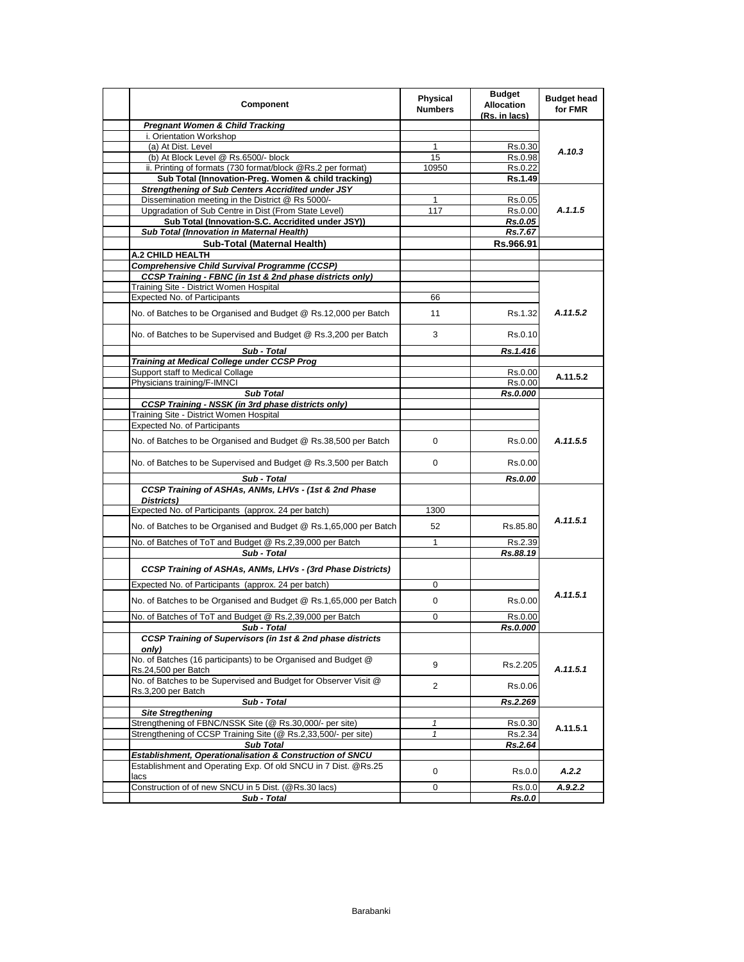| Component                                                                              | <b>Physical</b><br><b>Numbers</b> | <b>Budget</b><br><b>Allocation</b><br>(Rs. in lacs) | <b>Budget head</b><br>for FMR |
|----------------------------------------------------------------------------------------|-----------------------------------|-----------------------------------------------------|-------------------------------|
| <b>Pregnant Women &amp; Child Tracking</b>                                             |                                   |                                                     |                               |
| i. Orientation Workshop                                                                |                                   |                                                     |                               |
| (a) At Dist. Level                                                                     | 1                                 | Rs.0.30                                             | A.10.3                        |
| (b) At Block Level @ Rs.6500/- block                                                   | 15                                | Rs.0.98                                             |                               |
| ii. Printing of formats (730 format/block @Rs.2 per format)                            | 10950                             | Rs.0.22                                             |                               |
| Sub Total (Innovation-Preg. Women & child tracking)                                    |                                   | Rs.1.49                                             |                               |
| <b>Strengthening of Sub Centers Accridited under JSY</b>                               |                                   |                                                     |                               |
| Dissemination meeting in the District @ Rs 5000/-                                      | 1                                 | Rs 0.05                                             |                               |
| Upgradation of Sub Centre in Dist (From State Level)                                   | 117                               | Rs.0.00                                             | A.1.1.5                       |
| Sub Total (Innovation-S.C. Accridited under JSY))                                      |                                   | Rs.0.05                                             |                               |
| Sub Total (Innovation in Maternal Health)                                              |                                   | Rs.7.67                                             |                               |
| Sub-Total (Maternal Health)                                                            |                                   | Rs.966.91                                           |                               |
| A.2 CHILD HEALTH                                                                       |                                   |                                                     |                               |
| <b>Comprehensive Child Survival Programme (CCSP)</b>                                   |                                   |                                                     |                               |
| <b>CCSP Training - FBNC (in 1st &amp; 2nd phase districts only)</b>                    |                                   |                                                     |                               |
| Training Site - District Women Hospital                                                |                                   |                                                     |                               |
| Expected No. of Participants                                                           | 66                                |                                                     |                               |
|                                                                                        |                                   |                                                     |                               |
| No. of Batches to be Organised and Budget @ Rs.12,000 per Batch                        | 11                                | Rs.1.32                                             | A.11.5.2                      |
| No. of Batches to be Supervised and Budget @ Rs.3,200 per Batch                        | 3                                 | Rs 0.10                                             |                               |
| Sub - Total                                                                            |                                   | Rs.1.416                                            |                               |
| Training at Medical College under CCSP Prog                                            |                                   |                                                     |                               |
| Support staff to Medical Collage                                                       |                                   | Rs.0.00                                             | A.11.5.2                      |
| Physicians training/F-IMNCI                                                            |                                   | Rs.0.00                                             |                               |
| <b>Sub Total</b>                                                                       |                                   | Rs.0.000                                            |                               |
| <b>CCSP Training - NSSK (in 3rd phase districts only)</b>                              |                                   |                                                     |                               |
| Training Site - District Women Hospital                                                |                                   |                                                     |                               |
| <b>Expected No. of Participants</b>                                                    |                                   |                                                     |                               |
| No. of Batches to be Organised and Budget @ Rs.38,500 per Batch                        | 0                                 | Rs 0.00                                             | A.11.5.5                      |
| No. of Batches to be Supervised and Budget @ Rs.3,500 per Batch                        | 0                                 | Rs 0.00                                             |                               |
| Sub - Total                                                                            |                                   | <b>Rs.0.00</b>                                      |                               |
| CCSP Training of ASHAs, ANMs, LHVs - (1st & 2nd Phase                                  |                                   |                                                     |                               |
| Districts)                                                                             |                                   |                                                     |                               |
| Expected No. of Participants (approx. 24 per batch)                                    | 1300                              |                                                     |                               |
|                                                                                        |                                   |                                                     | A.11.5.1                      |
| No. of Batches to be Organised and Budget @ Rs.1,65,000 per Batch                      | 52                                | Rs.85.80                                            |                               |
| No. of Batches of ToT and Budget @ Rs.2,39,000 per Batch                               | $\mathbf{1}$                      | Rs.2.39                                             |                               |
| Sub - Total                                                                            |                                   | Rs.88.19                                            |                               |
| CCSP Training of ASHAs, ANMs, LHVs - (3rd Phase Districts)                             |                                   |                                                     |                               |
| Expected No. of Participants (approx. 24 per batch)                                    | 0                                 |                                                     |                               |
| No. of Batches to be Organised and Budget @ Rs.1,65,000 per Batch                      | 0                                 | Rs.0.00                                             | A.11.5.1                      |
| No. of Batches of ToT and Budget @ Rs.2,39,000 per Batch                               | 0                                 | Rs.0.00                                             |                               |
|                                                                                        |                                   |                                                     |                               |
| Sub - Total<br>CCSP Training of Supervisors (in 1st & 2nd phase districts              |                                   | Rs.0.000                                            |                               |
| only)                                                                                  |                                   |                                                     |                               |
| No. of Batches (16 participants) to be Organised and Budget @                          | 9                                 | Rs.2.205                                            |                               |
| Rs.24,500 per Batch<br>No. of Batches to be Supervised and Budget for Observer Visit @ | $\overline{2}$                    | Rs.0.06                                             | A.11.5.1                      |
| Rs.3,200 per Batch<br>Sub - Total                                                      |                                   | Rs.2.269                                            |                               |
| <b>Site Stregthening</b>                                                               |                                   |                                                     |                               |
| Strengthening of FBNC/NSSK Site (@ Rs.30,000/- per site)                               | $\mathbf{1}$                      | Rs.0.30                                             |                               |
| Strengthening of CCSP Training Site (@ Rs.2,33,500/- per site)                         | $\mathbf{1}$                      | Rs.2.34                                             | A.11.5.1                      |
| <b>Sub Total</b>                                                                       |                                   | Rs.2.64                                             |                               |
| Establishment, Operationalisation & Construction of SNCU                               |                                   |                                                     |                               |
| Establishment and Operating Exp. Of old SNCU in 7 Dist. @Rs.25                         |                                   |                                                     |                               |
| lacs                                                                                   | 0                                 | Rs.0.0                                              | A.2.2                         |
| Construction of of new SNCU in 5 Dist. (@Rs.30 lacs)                                   | 0                                 | Rs.0.0                                              | A.9.2.2                       |
| Sub - Total                                                                            |                                   | Rs.0.0                                              |                               |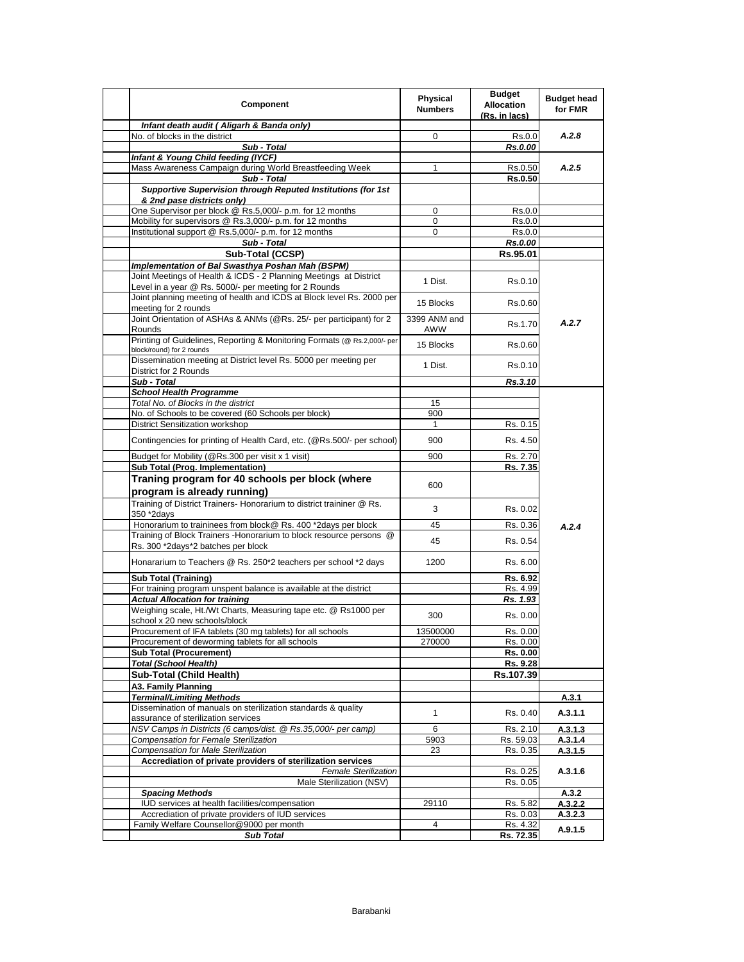| Component                                                                                                             | <b>Physical</b><br><b>Numbers</b> | <b>Budget</b><br>Allocation<br>(Rs. in lacs) | <b>Budget head</b><br>for FMR |
|-----------------------------------------------------------------------------------------------------------------------|-----------------------------------|----------------------------------------------|-------------------------------|
| Infant death audit (Aligarh & Banda only)                                                                             |                                   |                                              |                               |
| No. of blocks in the district                                                                                         | 0                                 | Rs.0.0                                       | A.2.8                         |
| Sub - Total<br>Infant & Young Child feeding (IYCF)                                                                    |                                   | Rs.0.00                                      |                               |
| Mass Awareness Campaign during World Breastfeeding Week                                                               | 1                                 | Rs.0.50                                      | A.2.5                         |
| Sub - Total                                                                                                           |                                   | Rs.0.50                                      |                               |
| <b>Supportive Supervision through Reputed Institutions (for 1st</b>                                                   |                                   |                                              |                               |
| & 2nd pase districts only)                                                                                            |                                   |                                              |                               |
| One Supervisor per block @ Rs.5,000/- p.m. for 12 months                                                              | 0                                 | Rs.0.0                                       |                               |
| Mobility for supervisors @ Rs.3,000/- p.m. for 12 months                                                              | 0                                 | Rs.0.0                                       |                               |
| Institutional support @ Rs.5,000/- p.m. for 12 months                                                                 | 0                                 | Rs.0.0                                       |                               |
| Sub - Total                                                                                                           |                                   | Rs.0.00                                      |                               |
| Sub-Total (CCSP)                                                                                                      |                                   | Rs.95.01                                     |                               |
| Implementation of Bal Swasthya Poshan Mah (BSPM)<br>Joint Meetings of Health & ICDS - 2 Planning Meetings at District |                                   |                                              |                               |
| Level in a year @ Rs. 5000/- per meeting for 2 Rounds                                                                 | 1 Dist.                           | Rs.0.10                                      |                               |
| Joint planning meeting of health and ICDS at Block level Rs. 2000 per                                                 |                                   |                                              |                               |
| meeting for 2 rounds                                                                                                  | 15 Blocks                         | Rs.0.60                                      |                               |
| Joint Orientation of ASHAs & ANMs (@Rs. 25/- per participant) for 2                                                   | 3399 ANM and                      |                                              |                               |
| Rounds                                                                                                                | AWW                               | Rs 1.70                                      | A.2.7                         |
| Printing of Guidelines, Reporting & Monitoring Formats (@ Rs.2,000/- per                                              | 15 Blocks                         |                                              |                               |
| block/round) for 2 rounds                                                                                             |                                   | Rs.0.60                                      |                               |
| Dissemination meeting at District level Rs. 5000 per meeting per                                                      | 1 Dist.                           | Rs.0.10                                      |                               |
| District for 2 Rounds                                                                                                 |                                   |                                              |                               |
| Sub - Total                                                                                                           |                                   | Rs.3.10                                      |                               |
| <b>School Health Programme</b><br>Total No. of Blocks in the district                                                 | 15                                |                                              |                               |
| No. of Schools to be covered (60 Schools per block)                                                                   | 900                               |                                              |                               |
| <b>District Sensitization workshop</b>                                                                                | $\mathbf{1}$                      | Rs. 0.15                                     |                               |
|                                                                                                                       |                                   |                                              |                               |
| Contingencies for printing of Health Card, etc. (@Rs.500/- per school)                                                | 900                               | Rs. 4.50                                     |                               |
| Budget for Mobility (@Rs.300 per visit x 1 visit)                                                                     | 900                               | Rs. 2.70                                     |                               |
| Sub Total (Prog. Implementation)                                                                                      |                                   | Rs. 7.35                                     |                               |
| Traning program for 40 schools per block (where                                                                       | 600                               |                                              |                               |
| program is already running)                                                                                           |                                   |                                              |                               |
| Training of District Trainers- Honorarium to district traininer @ Rs.                                                 |                                   |                                              |                               |
| 350 *2days                                                                                                            | 3                                 | Rs. 0.02                                     |                               |
| Honorarium to traininees from block@ Rs. 400 *2days per block                                                         | 45                                | Rs. 0.36                                     | A.2.4                         |
| Training of Block Trainers - Honorarium to block resource persons @                                                   | 45                                | Rs. 0.54                                     |                               |
| Rs. 300 *2days*2 batches per block                                                                                    |                                   |                                              |                               |
| Honararium to Teachers @ Rs. 250*2 teachers per school *2 days                                                        | 1200                              | Rs. 6.00                                     |                               |
| <b>Sub Total (Training)</b>                                                                                           |                                   | Rs. 6.92                                     |                               |
| For training program unspent balance is available at the district                                                     |                                   | Rs. 4.99                                     |                               |
| <b>Actual Allocation for training</b>                                                                                 |                                   | Rs. 1.93                                     |                               |
| Weighing scale, Ht./Wt Charts, Measuring tape etc. @ Rs1000 per                                                       |                                   |                                              |                               |
| school x 20 new schools/block                                                                                         | 300                               | Rs. 0.00                                     |                               |
| Procurement of IFA tablets (30 mg tablets) for all schools                                                            | 13500000                          | Rs. 0.00                                     |                               |
| Procurement of deworming tablets for all schools                                                                      | 270000                            | Rs. 0.00                                     |                               |
| <b>Sub Total (Procurement)</b>                                                                                        |                                   | Rs. 0.00                                     |                               |
| <b>Total (School Health)</b>                                                                                          |                                   | Rs. 9.28                                     |                               |
| Sub-Total (Child Health)                                                                                              |                                   | Rs.107.39                                    |                               |
| A3. Family Planning                                                                                                   |                                   |                                              |                               |
| <b>Terminal/Limiting Methods</b><br>Dissemination of manuals on sterilization standards & quality                     |                                   |                                              | A.3.1                         |
| assurance of sterilization services                                                                                   | 1                                 | Rs. 0.40                                     | A.3.1.1                       |
| NSV Camps in Districts (6 camps/dist. @ Rs.35,000/- per camp)                                                         | 6                                 | Rs. 2.10                                     | A.3.1.3                       |
| Compensation for Female Sterilization                                                                                 | 5903                              | Rs. 59.03                                    | A.3.1.4                       |
| Compensation for Male Sterilization                                                                                   | 23                                | Rs. 0.35                                     | A.3.1.5                       |
| Accrediation of private providers of sterilization services                                                           |                                   |                                              |                               |
| <b>Female Sterilization</b>                                                                                           |                                   | Rs. 0.25                                     | A.3.1.6                       |
| Male Sterilization (NSV)                                                                                              |                                   | Rs. 0.05                                     |                               |
| <b>Spacing Methods</b>                                                                                                |                                   |                                              | A.3.2                         |
| IUD services at health facilities/compensation                                                                        | 29110                             | Rs. 5.82                                     | A.3.2.2                       |
| Accrediation of private providers of IUD services                                                                     | 4                                 | Rs. 0.03                                     | A.3.2.3                       |
| Family Welfare Counsellor@9000 per month<br><b>Sub Total</b>                                                          |                                   | Rs. 4.32<br>Rs. 72.35                        | A.9.1.5                       |
|                                                                                                                       |                                   |                                              |                               |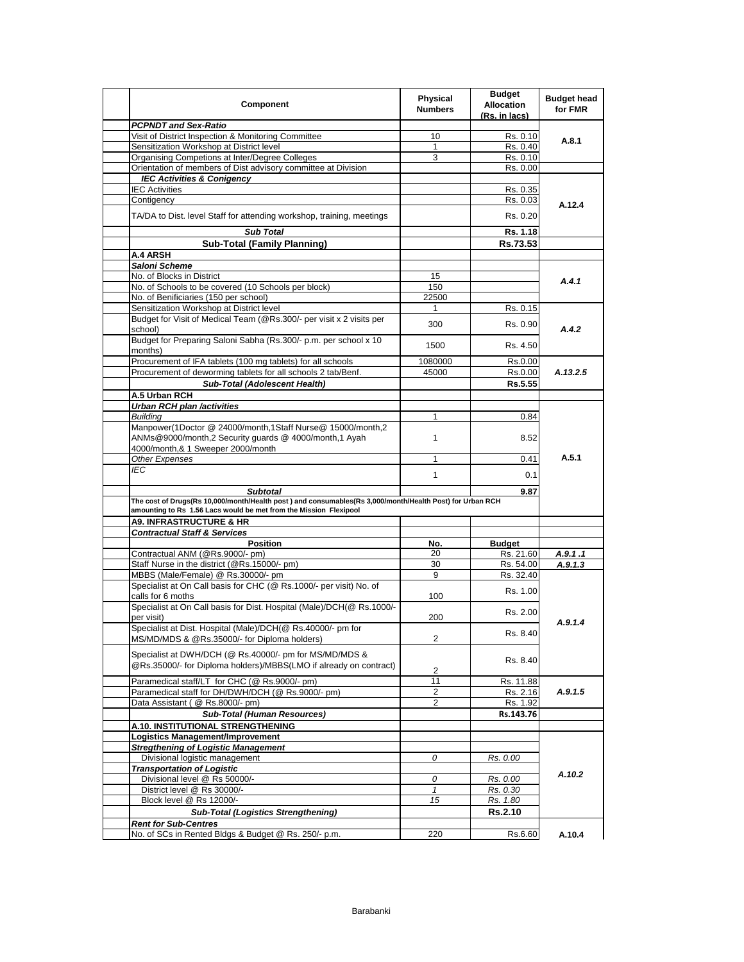| Component                                                                                                | <b>Physical</b><br><b>Numbers</b> | <b>Budget</b><br><b>Allocation</b><br>(Rs. in lacs) | <b>Budget head</b><br>for FMR |
|----------------------------------------------------------------------------------------------------------|-----------------------------------|-----------------------------------------------------|-------------------------------|
| <b>PCPNDT and Sex-Ratio</b>                                                                              |                                   |                                                     |                               |
| Visit of District Inspection & Monitoring Committee                                                      | 10                                | Rs. 0.10                                            |                               |
| Sensitization Workshop at District level                                                                 | $\mathbf{1}$                      | Rs. 0.40                                            | A.8.1                         |
| Organising Competions at Inter/Degree Colleges                                                           | 3                                 | Rs. 0.10                                            |                               |
| Orientation of members of Dist advisory committee at Division                                            |                                   | Rs. 0.00                                            |                               |
| <b>IEC Activities &amp; Conigency</b>                                                                    |                                   |                                                     |                               |
| <b>IEC Activities</b>                                                                                    |                                   | Rs. 0.35                                            |                               |
| Contigency                                                                                               |                                   | Rs. 0.03                                            |                               |
|                                                                                                          |                                   |                                                     | A.12.4                        |
| TA/DA to Dist. level Staff for attending workshop, training, meetings                                    |                                   | Rs. 0.20                                            |                               |
| <b>Sub Total</b>                                                                                         |                                   | Rs. 1.18                                            |                               |
| <b>Sub-Total (Family Planning)</b>                                                                       |                                   | Rs.73.53                                            |                               |
| A.4 ARSH                                                                                                 |                                   |                                                     |                               |
| Saloni Scheme                                                                                            |                                   |                                                     |                               |
| No. of Blocks in District                                                                                | 15                                |                                                     | A.4.1                         |
| No. of Schools to be covered (10 Schools per block)                                                      | 150                               |                                                     |                               |
| No. of Benificiaries (150 per school)                                                                    | 22500                             |                                                     |                               |
| Sensitization Workshop at District level                                                                 | 1                                 | Rs. 0.15                                            |                               |
| Budget for Visit of Medical Team (@Rs.300/- per visit x 2 visits per                                     |                                   |                                                     |                               |
| school)                                                                                                  | 300                               | Rs. 0.90                                            | A.4.2                         |
| Budget for Preparing Saloni Sabha (Rs.300/- p.m. per school x 10                                         | 1500                              | Rs. 4.50                                            |                               |
| months)                                                                                                  |                                   |                                                     |                               |
| Procurement of IFA tablets (100 mg tablets) for all schools                                              | 1080000                           | Rs.0.00                                             |                               |
| Procurement of deworming tablets for all schools 2 tab/Benf.                                             | 45000                             | Rs.0.00                                             | A.13.2.5                      |
| Sub-Total (Adolescent Health)                                                                            |                                   | Rs.5.55                                             |                               |
| A.5 Urban RCH                                                                                            |                                   |                                                     |                               |
| <b>Urban RCH plan /activities</b>                                                                        |                                   |                                                     |                               |
| <b>Building</b>                                                                                          | 1                                 | 0.84                                                |                               |
| Manpower(1Doctor @ 24000/month,1Staff Nurse@ 15000/month,2                                               |                                   |                                                     |                               |
| ANMs@9000/month,2 Security quards @ 4000/month,1 Ayah                                                    | 1                                 | 8.52                                                |                               |
| 4000/month,& 1 Sweeper 2000/month                                                                        |                                   |                                                     |                               |
| Other Expenses                                                                                           | 1                                 | 0.41                                                | A.5.1                         |
| IEC                                                                                                      |                                   |                                                     |                               |
|                                                                                                          | 1                                 | 0.1                                                 |                               |
| <b>Subtotal</b>                                                                                          |                                   | 9.87                                                |                               |
| The cost of Drugs(Rs 10,000/month/Health post) and consumables(Rs 3,000/month/Health Post) for Urban RCH |                                   |                                                     |                               |
| amounting to Rs 1.56 Lacs would be met from the Mission Flexipool                                        |                                   |                                                     |                               |
| <b>A9. INFRASTRUCTURE &amp; HR</b>                                                                       |                                   |                                                     |                               |
| <b>Contractual Staff &amp; Services</b>                                                                  |                                   |                                                     |                               |
| <b>Position</b>                                                                                          | No.                               | <b>Budget</b>                                       |                               |
| Contractual ANM (@Rs.9000/- pm)                                                                          | 20                                | Rs. 21.60                                           | A.9.1.1                       |
| Staff Nurse in the district (@Rs.15000/- pm)                                                             | 30                                | Rs. 54.00                                           | A.9.1.3                       |
| MBBS (Male/Female) @ Rs.30000/- pm                                                                       | 9                                 | Rs. 32.40                                           |                               |
| Specialist at On Call basis for CHC (@ Rs.1000/- per visit) No. of                                       |                                   |                                                     |                               |
| calls for 6 moths                                                                                        | 100                               | Rs. 1.00                                            |                               |
| Specialist at On Call basis for Dist. Hospital (Male)/DCH(@ Rs.1000/-                                    |                                   |                                                     |                               |
| per visit)                                                                                               | 200                               | Rs. 2.00                                            |                               |
| Specialist at Dist. Hospital (Male)/DCH(@ Rs.40000/- pm for                                              |                                   |                                                     | A.9.1.4                       |
| MS/MD/MDS & @Rs.35000/- for Diploma holders)                                                             | $\overline{2}$                    | Rs. 8.40                                            |                               |
|                                                                                                          |                                   |                                                     |                               |
| Specialist at DWH/DCH (@ Rs.40000/- pm for MS/MD/MDS &                                                   |                                   |                                                     |                               |
| @Rs.35000/- for Diploma holders)/MBBS(LMO if already on contract)                                        |                                   | Rs. 8.40                                            |                               |
|                                                                                                          | 2                                 |                                                     |                               |
| Paramedical staff/LT for CHC (@ Rs.9000/- pm)                                                            | 11                                | Rs. 11.88                                           |                               |
| Paramedical staff for DH/DWH/DCH (@ Rs.9000/- pm)                                                        | 2                                 | Rs. 2.16                                            | A.9.1.5                       |
| Data Assistant ( @ Rs.8000/- pm)                                                                         | 2                                 | Rs. 1.92                                            |                               |
| <b>Sub-Total (Human Resources)</b>                                                                       |                                   | Rs.143.76                                           |                               |
| A.10. INSTITUTIONAL STRENGTHENING                                                                        |                                   |                                                     |                               |
| Logistics Management/Improvement                                                                         |                                   |                                                     |                               |
| <b>Stregthening of Logistic Management</b>                                                               |                                   |                                                     |                               |
| Divisional logistic management                                                                           | 0                                 | Rs. 0.00                                            |                               |
| <b>Transportation of Logistic</b>                                                                        |                                   |                                                     |                               |
| Divisional level @ Rs 50000/-                                                                            | 0                                 | Rs. 0.00                                            | A.10.2                        |
| District level @ Rs 30000/-                                                                              | $\mathbf{1}$                      | Rs. 0.30                                            |                               |
| Block level @ Rs 12000/-                                                                                 | 15                                | Rs. 1.80                                            |                               |
| <b>Sub-Total (Logistics Strengthening)</b>                                                               |                                   | <b>Rs.2.10</b>                                      |                               |
|                                                                                                          |                                   |                                                     |                               |
| <b>Rent for Sub-Centres</b>                                                                              |                                   |                                                     |                               |
| No. of SCs in Rented Bldgs & Budget @ Rs. 250/- p.m.                                                     | 220                               | Rs.6.60                                             | A.10.4                        |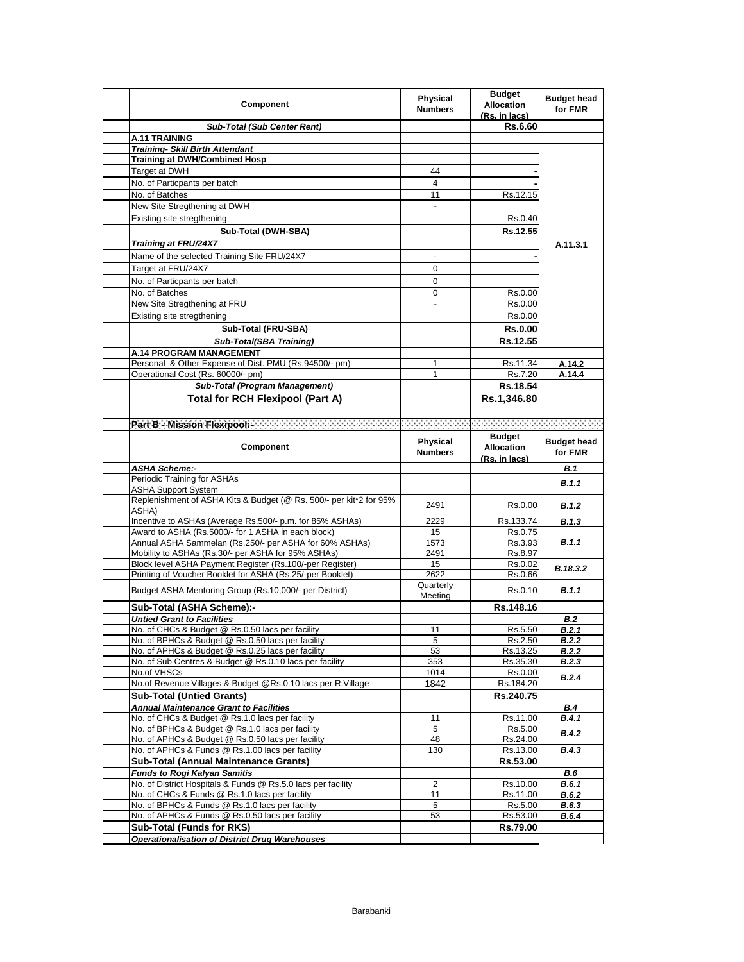| Component                                                                                              | <b>Physical</b><br><b>Numbers</b> | <b>Budget</b><br><b>Allocation</b><br>(Rs. in lacs) | <b>Budget head</b><br>for FMR |
|--------------------------------------------------------------------------------------------------------|-----------------------------------|-----------------------------------------------------|-------------------------------|
| <b>Sub-Total (Sub Center Rent)</b>                                                                     |                                   | <b>Rs.6.60</b>                                      |                               |
| <b>A.11 TRAINING</b>                                                                                   |                                   |                                                     |                               |
| <b>Training- Skill Birth Attendant</b>                                                                 |                                   |                                                     |                               |
| <b>Training at DWH/Combined Hosp</b>                                                                   |                                   |                                                     |                               |
| Target at DWH                                                                                          | 44                                |                                                     |                               |
| No. of Particpants per batch                                                                           | 4                                 |                                                     |                               |
| No. of Batches                                                                                         | 11                                | Rs.12.15                                            |                               |
| New Site Stregthening at DWH                                                                           | $\overline{\phantom{a}}$          |                                                     |                               |
| Existing site stregthening                                                                             |                                   | Rs.0.40                                             |                               |
| Sub-Total (DWH-SBA)                                                                                    |                                   | Rs.12.55                                            |                               |
| <b>Training at FRU/24X7</b>                                                                            |                                   |                                                     | A.11.3.1                      |
| Name of the selected Training Site FRU/24X7                                                            |                                   |                                                     |                               |
| Target at FRU/24X7                                                                                     | 0                                 |                                                     |                               |
| No. of Particpants per batch                                                                           | 0                                 |                                                     |                               |
| No. of Batches                                                                                         | 0                                 | Rs.0.00                                             |                               |
| New Site Stregthening at FRU                                                                           |                                   | Rs.0.00                                             |                               |
| Existing site stregthening                                                                             |                                   | Rs.0.00                                             |                               |
|                                                                                                        |                                   |                                                     |                               |
| Sub-Total (FRU-SBA)                                                                                    |                                   | <b>Rs.0.00</b>                                      |                               |
| <b>Sub-Total(SBA Training)</b>                                                                         |                                   | Rs.12.55                                            |                               |
| A.14 PROGRAM MANAGEMENT                                                                                |                                   |                                                     |                               |
| Personal & Other Expense of Dist. PMU (Rs.94500/- pm)<br>Operational Cost (Rs. 60000/- pm)             | 1<br>1                            | Rs.11.34<br>Rs.7.20                                 | A.14.2<br>A.14.4              |
| Sub-Total (Program Management)                                                                         |                                   | Rs.18.54                                            |                               |
|                                                                                                        |                                   |                                                     |                               |
| <b>Total for RCH Flexipool (Part A)</b>                                                                |                                   | Rs.1,346.80                                         |                               |
|                                                                                                        |                                   |                                                     |                               |
|                                                                                                        |                                   |                                                     | <b>Contract Contract</b>      |
|                                                                                                        | Physical                          | <b>Budget</b>                                       | <b>Budget head</b>            |
| Component                                                                                              | <b>Numbers</b>                    | <b>Allocation</b>                                   | for FMR                       |
|                                                                                                        |                                   | (Rs. in lacs)                                       |                               |
|                                                                                                        |                                   |                                                     |                               |
| <b>ASHA Scheme:-</b>                                                                                   |                                   |                                                     | B.1                           |
| Periodic Training for ASHAs                                                                            |                                   |                                                     | B.1.1                         |
| <b>ASHA Support System</b>                                                                             |                                   |                                                     |                               |
| Replenishment of ASHA Kits & Budget (@ Rs. 500/- per kit*2 for 95%<br>ASHA)                            | 2491                              | Rs.0.00                                             | B.1.2                         |
| Incentive to ASHAs (Average Rs.500/- p.m. for 85% ASHAs)                                               | 2229                              | Rs.133.74                                           | B.1.3                         |
| Award to ASHA (Rs.5000/- for 1 ASHA in each block)                                                     | 15                                | Rs.0.75                                             |                               |
| Annual ASHA Sammelan (Rs.250/- per ASHA for 60% ASHAs)                                                 | 1573                              | Rs 3.93                                             | B.1.1                         |
| Mobility to ASHAs (Rs.30/- per ASHA for 95% ASHAs)                                                     | 2491                              | Rs.8.97                                             |                               |
| Block level ASHA Payment Register (Rs.100/-per Register)                                               | 15                                | Rs.0.02                                             | B.18.3.2                      |
| Printing of Voucher Booklet for ASHA (Rs.25/-per Booklet)                                              | 2622                              | Rs.0.66                                             |                               |
| Budget ASHA Mentoring Group (Rs.10,000/- per District)                                                 | Quarterly                         | Rs 0.10                                             | B.1.1                         |
|                                                                                                        | Meeting                           |                                                     |                               |
| Sub-Total (ASHA Scheme):-                                                                              |                                   | Rs.148.16                                           |                               |
| <b>Untied Grant to Facilities</b>                                                                      |                                   |                                                     | <b>B.2</b>                    |
| No. of CHCs & Budget @ Rs.0.50 lacs per facility                                                       | 11                                | Rs.5.50                                             | <b>B.2.1</b>                  |
| No. of BPHCs & Budget @ Rs.0.50 lacs per facility<br>No. of APHCs & Budget @ Rs.0.25 lacs per facility | 5<br>53                           | Rs.2.50<br>Rs.13.25                                 | B.2.2<br><b>B.2.2</b>         |
| No. of Sub Centres & Budget @ Rs.0.10 lacs per facility                                                | 353                               | Rs.35.30                                            | B.2.3                         |
| No.of VHSCs                                                                                            | 1014                              | Rs.0.00                                             |                               |
| No.of Revenue Villages & Budget @Rs.0.10 lacs per R.Village                                            | 1842                              | Rs.184.20                                           | B.2.4                         |
| <b>Sub-Total (Untied Grants)</b>                                                                       |                                   | Rs.240.75                                           |                               |
| <b>Annual Maintenance Grant to Facilities</b>                                                          |                                   |                                                     | B.4                           |
| No. of CHCs & Budget @ Rs.1.0 lacs per facility                                                        | 11                                | Rs.11.00                                            | B.4.1                         |
| No. of BPHCs & Budget @ Rs.1.0 lacs per facility                                                       | 5                                 | Rs.5.00                                             | <b>B.4.2</b>                  |
| No. of APHCs & Budget @ Rs.0.50 lacs per facility                                                      | 48                                | Rs.24.00                                            |                               |
| No. of APHCs & Funds @ Rs.1.00 lacs per facility                                                       | 130                               | Rs.13.00                                            | B.4.3                         |
| <b>Sub-Total (Annual Maintenance Grants)</b>                                                           |                                   | Rs.53.00                                            |                               |
| <b>Funds to Rogi Kalyan Samitis</b>                                                                    |                                   |                                                     | B.6                           |
| No. of District Hospitals & Funds @ Rs.5.0 lacs per facility                                           | 2                                 | Rs.10.00                                            | B.6.1                         |
| No. of CHCs & Funds @ Rs.1.0 lacs per facility                                                         | 11                                | Rs.11.00                                            | B.6.2                         |
| No. of BPHCs & Funds @ Rs.1.0 lacs per facility                                                        | 5                                 | Rs.5.00                                             | <b>B.6.3</b>                  |
| No. of APHCs & Funds @ Rs.0.50 lacs per facility<br><b>Sub-Total (Funds for RKS)</b>                   | 53                                | Rs.53.00<br>Rs.79.00                                | B.6.4                         |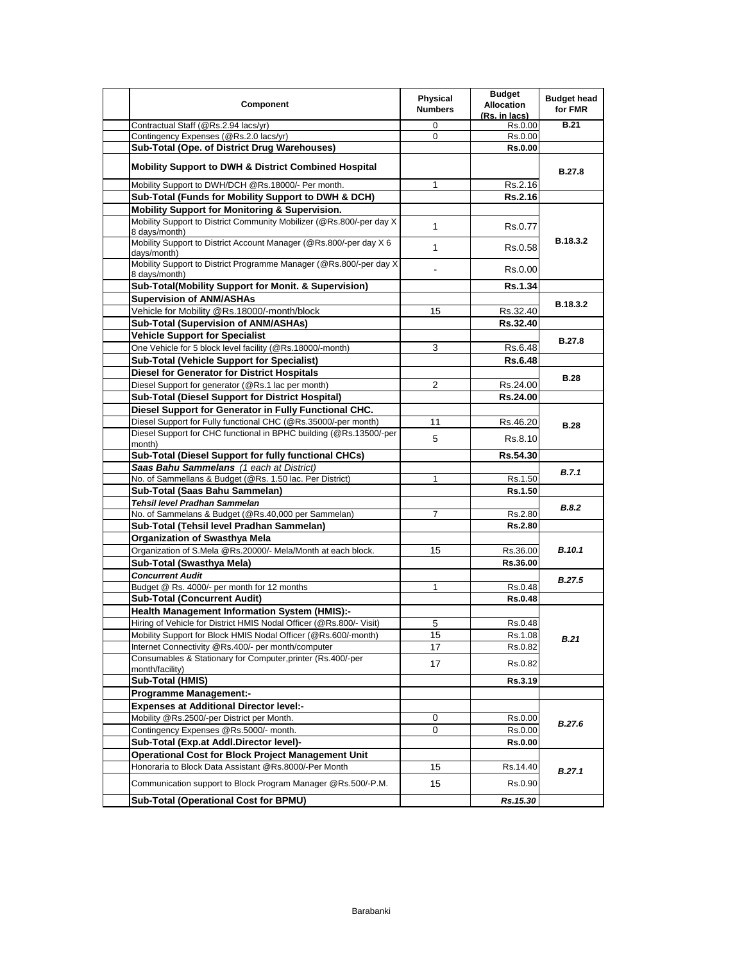| Component                                                                              | <b>Physical</b><br><b>Numbers</b> | <b>Budget</b><br><b>Allocation</b><br>(Rs. in lacs) | <b>Budget head</b><br>for FMR |
|----------------------------------------------------------------------------------------|-----------------------------------|-----------------------------------------------------|-------------------------------|
| Contractual Staff (@Rs.2.94 lacs/yr)                                                   | $\Omega$                          | Rs.0.00                                             | <b>B.21</b>                   |
| Contingency Expenses (@Rs.2.0 lacs/yr)                                                 | $\mathbf 0$                       | Rs.0.00                                             |                               |
| Sub-Total (Ope. of District Drug Warehouses)                                           |                                   | <b>Rs.0.00</b>                                      |                               |
| <b>Mobility Support to DWH &amp; District Combined Hospital</b>                        |                                   |                                                     | <b>B.27.8</b>                 |
| Mobility Support to DWH/DCH @Rs.18000/- Per month.                                     | 1                                 | Rs.2.16                                             |                               |
| Sub-Total (Funds for Mobility Support to DWH & DCH)                                    |                                   | <b>Rs.2.16</b>                                      |                               |
| Mobility Support for Monitoring & Supervision.                                         |                                   |                                                     |                               |
| Mobility Support to District Community Mobilizer (@Rs.800/-per day X)<br>8 days/month) | $\mathbf 1$                       | Rs.0.77                                             |                               |
| Mobility Support to District Account Manager (@Rs.800/-per day X 6)<br>days/month)     | $\mathbf{1}$                      | Rs.0.58                                             | B.18.3.2                      |
| Mobility Support to District Programme Manager (@Rs.800/-per day X<br>8 days/month)    |                                   | Rs.0.00                                             |                               |
| Sub-Total(Mobility Support for Monit. & Supervision)                                   |                                   | <b>Rs.1.34</b>                                      |                               |
| <b>Supervision of ANM/ASHAs</b>                                                        |                                   |                                                     | B.18.3.2                      |
| Vehicle for Mobility @Rs.18000/-month/block                                            | 15                                | Rs.32.40                                            |                               |
| Sub-Total (Supervision of ANM/ASHAs)                                                   |                                   | Rs.32.40                                            |                               |
| <b>Vehicle Support for Specialist</b>                                                  |                                   |                                                     | <b>B.27.8</b>                 |
| One Vehicle for 5 block level facility (@Rs.18000/-month)                              | 3                                 | Rs.6.48                                             |                               |
| <b>Sub-Total (Vehicle Support for Specialist)</b>                                      |                                   | <b>Rs.6.48</b>                                      |                               |
| Diesel for Generator for District Hospitals                                            |                                   |                                                     | <b>B.28</b>                   |
| Diesel Support for generator (@Rs.1 lac per month)                                     | 2                                 | Rs.24.00                                            |                               |
| <b>Sub-Total (Diesel Support for District Hospital)</b>                                |                                   | Rs.24.00                                            |                               |
| Diesel Support for Generator in Fully Functional CHC.                                  |                                   |                                                     |                               |
| Diesel Support for Fully functional CHC (@Rs.35000/-per month)                         | 11                                | Rs.46.20                                            | <b>B.28</b>                   |
| Diesel Support for CHC functional in BPHC building (@Rs.13500/-per<br>month)           | 5                                 | Rs.8.10                                             |                               |
| Sub-Total (Diesel Support for fully functional CHCs)                                   |                                   | Rs.54.30                                            |                               |
| Saas Bahu Sammelans (1 each at District)                                               |                                   |                                                     | <b>B.7.1</b>                  |
| No. of Sammellans & Budget (@Rs. 1.50 lac. Per District)                               | $\mathbf{1}$                      | Rs.1.50                                             |                               |
| Sub-Total (Saas Bahu Sammelan)                                                         |                                   | Rs.1.50                                             |                               |
| Tehsil level Pradhan Sammelan                                                          |                                   |                                                     | B.8.2                         |
| No. of Sammelans & Budget (@Rs.40,000 per Sammelan)                                    | 7                                 | Rs.2.80                                             |                               |
| Sub-Total (Tehsil level Pradhan Sammelan)                                              |                                   | <b>Rs.2.80</b>                                      |                               |
| <b>Organization of Swasthya Mela</b>                                                   |                                   |                                                     |                               |
| Organization of S.Mela @Rs.20000/- Mela/Month at each block.                           | 15                                | Rs.36.00                                            | <b>B.10.1</b>                 |
| Sub-Total (Swasthya Mela)                                                              |                                   | Rs.36.00                                            |                               |
| <b>Concurrent Audit</b>                                                                |                                   |                                                     | <b>B.27.5</b>                 |
| Budget @ Rs. 4000/- per month for 12 months                                            | 1                                 | Rs.0.48                                             |                               |
| <b>Sub-Total (Concurrent Audit)</b>                                                    |                                   | <b>Rs.0.48</b>                                      |                               |
| Health Management Information System (HMIS):-                                          |                                   |                                                     |                               |
| Hiring of Vehicle for District HMIS Nodal Officer (@Rs.800/- Visit)                    | 5                                 | Rs.0.48                                             |                               |
| Mobility Support for Block HMIS Nodal Officer (@Rs.600/-month)                         | 15                                | Rs.1.08                                             | B.21                          |
| Internet Connectivity @Rs.400/- per month/computer                                     | 17                                | Rs.0.82                                             |                               |
| Consumables & Stationary for Computer, printer (Rs.400/-per<br>month/facility)         | 17                                | Rs.0.82                                             |                               |
| Sub-Total (HMIS)                                                                       |                                   | Rs.3.19                                             |                               |
| <b>Programme Management:-</b>                                                          |                                   |                                                     |                               |
| <b>Expenses at Additional Director level:-</b>                                         |                                   |                                                     |                               |
| Mobility @Rs.2500/-per District per Month.                                             | 0                                 | Rs.0.00                                             | B.27.6                        |
| Contingency Expenses @Rs.5000/- month.                                                 | 0                                 | Rs.0.00                                             |                               |
| Sub-Total (Exp.at Addl.Director level)-                                                |                                   | <b>Rs.0.00</b>                                      |                               |
| <b>Operational Cost for Block Project Management Unit</b>                              |                                   |                                                     |                               |
| Honoraria to Block Data Assistant @Rs.8000/-Per Month                                  | 15                                | Rs.14.40                                            | B.27.1                        |
| Communication support to Block Program Manager @Rs.500/-P.M.                           | 15                                | Rs.0.90                                             |                               |
| Sub-Total (Operational Cost for BPMU)                                                  |                                   | Rs.15.30                                            |                               |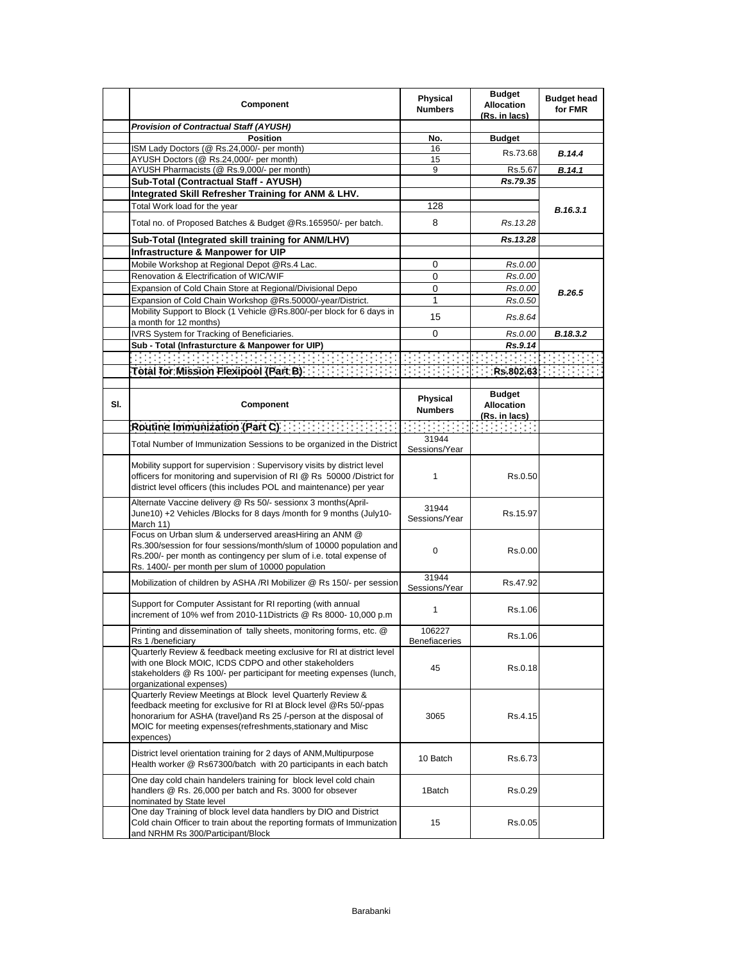|     | Component                                                                                                                                                                                                                                                                           | <b>Physical</b><br><b>Numbers</b> | <b>Budget</b><br><b>Allocation</b><br>(Rs. in lacs) | <b>Budget head</b><br>for FMR |
|-----|-------------------------------------------------------------------------------------------------------------------------------------------------------------------------------------------------------------------------------------------------------------------------------------|-----------------------------------|-----------------------------------------------------|-------------------------------|
|     | <b>Provision of Contractual Staff (AYUSH)</b>                                                                                                                                                                                                                                       |                                   |                                                     |                               |
|     | <b>Position</b>                                                                                                                                                                                                                                                                     | No.                               | <b>Budget</b>                                       |                               |
|     | ISM Lady Doctors (@ Rs.24,000/- per month)                                                                                                                                                                                                                                          | 16                                | Rs.73.68                                            | <b>B.14.4</b>                 |
|     | AYUSH Doctors (@ Rs.24,000/- per month)                                                                                                                                                                                                                                             | 15                                |                                                     |                               |
|     | AYUSH Pharmacists (@ Rs.9,000/- per month)                                                                                                                                                                                                                                          | 9                                 | Rs.5.67                                             | B.14.1                        |
|     | Sub-Total (Contractual Staff - AYUSH)                                                                                                                                                                                                                                               |                                   | Rs.79.35                                            |                               |
|     | Integrated Skill Refresher Training for ANM & LHV.                                                                                                                                                                                                                                  |                                   |                                                     |                               |
|     | Total Work load for the year                                                                                                                                                                                                                                                        | 128                               |                                                     | B.16.3.1                      |
|     | Total no. of Proposed Batches & Budget @Rs.165950/- per batch.                                                                                                                                                                                                                      | 8                                 | Rs. 13.28                                           |                               |
|     | Sub-Total (Integrated skill training for ANM/LHV)                                                                                                                                                                                                                                   |                                   | Rs.13.28                                            |                               |
|     | <b>Infrastructure &amp; Manpower for UIP</b>                                                                                                                                                                                                                                        |                                   |                                                     |                               |
|     | Mobile Workshop at Regional Depot @Rs.4 Lac.                                                                                                                                                                                                                                        | 0                                 | Rs.0.00                                             |                               |
|     | Renovation & Electrification of WIC/WIF                                                                                                                                                                                                                                             | 0                                 | Rs.0.00                                             |                               |
|     | Expansion of Cold Chain Store at Regional/Divisional Depo                                                                                                                                                                                                                           | 0                                 | Rs.0.00                                             | B.26.5                        |
|     | Expansion of Cold Chain Workshop @Rs.50000/-year/District.                                                                                                                                                                                                                          | 1                                 | Rs.0.50                                             |                               |
|     | Mobility Support to Block (1 Vehicle @Rs.800/-per block for 6 days in                                                                                                                                                                                                               | 15                                | Rs.8.64                                             |                               |
|     | a month for 12 months)                                                                                                                                                                                                                                                              |                                   |                                                     |                               |
|     | IVRS System for Tracking of Beneficiaries.                                                                                                                                                                                                                                          | 0                                 | Rs.0.00                                             | B.18.3.2                      |
|     | Sub - Total (Infrasturcture & Manpower for UIP)                                                                                                                                                                                                                                     |                                   | Rs.9.14                                             |                               |
|     | $\mathcal{L}^{\mathcal{L}}$ , and the set of $\mathcal{L}^{\mathcal{L}}$                                                                                                                                                                                                            |                                   |                                                     |                               |
|     | Total for Mission Flexipool (Part B) The Contract of Contract Contract Contract Contract Contract Contract Contract Contract Contract Contract Contract Contract Contract Contract Contract Contract Contract Contract Contrac                                                      |                                   | Rs.802.63                                           |                               |
|     |                                                                                                                                                                                                                                                                                     |                                   |                                                     |                               |
| SI. | Component                                                                                                                                                                                                                                                                           | <b>Physical</b><br><b>Numbers</b> | <b>Budget</b><br><b>Allocation</b><br>(Rs. in lacs) |                               |
|     | Routine Immunization (Part C) And International Property                                                                                                                                                                                                                            |                                   | रविवरप्रवस्तु                                       |                               |
|     | Total Number of Immunization Sessions to be organized in the District                                                                                                                                                                                                               | 31944<br>Sessions/Year            |                                                     |                               |
|     | Mobility support for supervision: Supervisory visits by district level<br>officers for monitoring and supervision of RI @ Rs 50000 /District for<br>district level officers (this includes POL and maintenance) per year                                                            | 1                                 | Rs 0.50                                             |                               |
|     | Alternate Vaccine delivery @ Rs 50/- sessionx 3 months(April-<br>June10) +2 Vehicles /Blocks for 8 days /month for 9 months (July10-<br>March 11)                                                                                                                                   | 31944<br>Sessions/Year            | Rs.15.97                                            |                               |
|     | Focus on Urban slum & underserved areasHiring an ANM @<br>Rs.300/session for four sessions/month/slum of 10000 population and<br>Rs.200/- per month as contingency per slum of i.e. total expense of<br>Rs. 1400/- per month per slum of 10000 population                           | 0                                 | Rs.0.00                                             |                               |
|     | Mobilization of children by ASHA /RI Mobilizer @ Rs 150/- per session                                                                                                                                                                                                               | 31944<br>Sessions/Year            | Rs.47.92                                            |                               |
|     | Support for Computer Assistant for RI reporting (with annual<br>increment of 10% wef from 2010-11Districts @ Rs 8000- 10,000 p.m                                                                                                                                                    | 1                                 | Rs.1.06                                             |                               |
|     | Printing and dissemination of tally sheets, monitoring forms, etc. @<br>Rs 1 /beneficiary                                                                                                                                                                                           | 106227<br>Benefiaceries           | Rs.1.06                                             |                               |
|     | Quarterly Review & feedback meeting exclusive for RI at district level<br>with one Block MOIC, ICDS CDPO and other stakeholders<br>stakeholders @ Rs 100/- per participant for meeting expenses (lunch,<br>organizational expenses)                                                 | 45                                | Rs.0.18                                             |                               |
|     | Quarterly Review Meetings at Block level Quarterly Review &<br>feedback meeting for exclusive for RI at Block level @Rs 50/-ppas<br>honorarium for ASHA (travel) and Rs 25 /-person at the disposal of<br>MOIC for meeting expenses (refreshments, stationary and Misc<br>expences) | 3065                              | Rs.4.15                                             |                               |
|     | District level orientation training for 2 days of ANM, Multipurpose<br>Health worker @ Rs67300/batch with 20 participants in each batch                                                                                                                                             | 10 Batch                          | Rs.6.73                                             |                               |
|     | One day cold chain handelers training for block level cold chain<br>handlers @ Rs. 26,000 per batch and Rs. 3000 for obsever<br>nominated by State level                                                                                                                            | 1Batch                            | Rs.0.29                                             |                               |
|     | One day Training of block level data handlers by DIO and District<br>Cold chain Officer to train about the reporting formats of Immunization<br>and NRHM Rs 300/Participant/Block                                                                                                   | 15                                | Rs.0.05                                             |                               |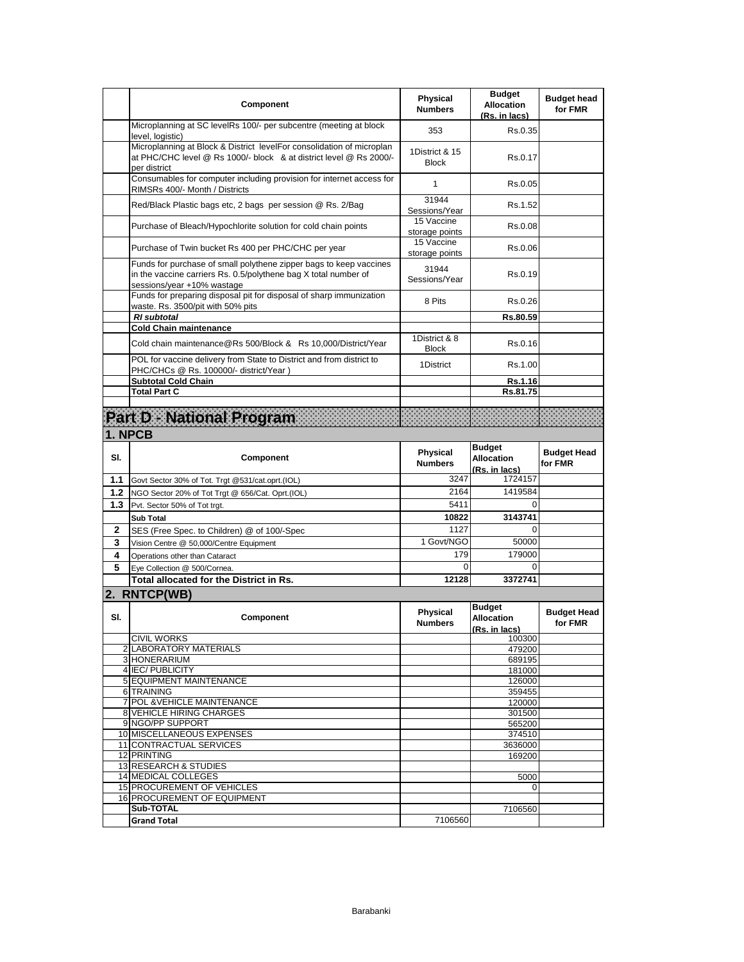|       | Component                                                                                                                                                           | <b>Physical</b><br><b>Numbers</b> | <b>Budget</b><br><b>Allocation</b><br>(Rs. in lacs) | <b>Budget head</b><br>for FMR |
|-------|---------------------------------------------------------------------------------------------------------------------------------------------------------------------|-----------------------------------|-----------------------------------------------------|-------------------------------|
|       | Microplanning at SC levelRs 100/- per subcentre (meeting at block<br>level, logistic)                                                                               | 353                               | Rs.0.35                                             |                               |
|       | Microplanning at Block & District levelFor consolidation of microplan<br>at PHC/CHC level @ Rs 1000/- block & at district level @ Rs 2000/-<br>per district         | 1District & 15<br><b>Block</b>    | Rs.0.17                                             |                               |
|       | Consumables for computer including provision for internet access for<br>RIMSRs 400/- Month / Districts                                                              | 1                                 | Rs.0.05                                             |                               |
|       | Red/Black Plastic bags etc, 2 bags per session @ Rs. 2/Bag                                                                                                          | 31944<br>Sessions/Year            | Rs.1.52                                             |                               |
|       | Purchase of Bleach/Hypochlorite solution for cold chain points                                                                                                      | 15 Vaccine<br>storage points      | Rs 0.08                                             |                               |
|       | Purchase of Twin bucket Rs 400 per PHC/CHC per year                                                                                                                 | 15 Vaccine<br>storage points      | Rs 0.06                                             |                               |
|       | Funds for purchase of small polythene zipper bags to keep vaccines<br>in the vaccine carriers Rs. 0.5/polythene bag X total number of<br>sessions/year +10% wastage | 31944<br>Sessions/Year            | Rs.0.19                                             |                               |
|       | Funds for preparing disposal pit for disposal of sharp immunization<br>waste. Rs. 3500/pit with 50% pits                                                            | 8 Pits                            | Rs.0.26                                             |                               |
|       | <b>RI</b> subtotal                                                                                                                                                  |                                   | Rs.80.59                                            |                               |
|       | <b>Cold Chain maintenance</b>                                                                                                                                       | 1District & 8                     |                                                     |                               |
|       | Cold chain maintenance@Rs 500/Block & Rs 10,000/District/Year<br>POL for vaccine delivery from State to District and from district to                               | <b>Block</b>                      | Rs.0.16                                             |                               |
|       | PHC/CHCs @ Rs. 100000/- district/Year)                                                                                                                              | 1District                         | Rs.1.00                                             |                               |
|       | <b>Subtotal Cold Chain</b>                                                                                                                                          |                                   | Rs.1.16                                             |                               |
|       | <b>Total Part C</b>                                                                                                                                                 |                                   | Rs.81.75                                            |                               |
|       | Part De National Programme and a complete the contract of the contract of the contract of the contract of the                                                       |                                   |                                                     |                               |
|       | 1. NPCB                                                                                                                                                             |                                   |                                                     |                               |
|       |                                                                                                                                                                     |                                   | <b>Budget</b>                                       |                               |
| SI.   | Component                                                                                                                                                           | <b>Physical</b><br><b>Numbers</b> | <b>Allocation</b><br>(Rs. in lacs)                  | <b>Budget Head</b><br>for FMR |
| 1.1   | Govt Sector 30% of Tot. Trgt @531/cat.oprt.(IOL)                                                                                                                    | 3247                              | 1724157                                             |                               |
| 1.2   | NGO Sector 20% of Tot Trgt @ 656/Cat. Oprt.(IOL)                                                                                                                    | 2164                              | 1419584                                             |                               |
| $1.3$ | Pvt. Sector 50% of Tot trgt.                                                                                                                                        | 5411                              | 0                                                   |                               |
|       | <b>Sub Total</b>                                                                                                                                                    | 10822                             | 3143741                                             |                               |
| 2     | SES (Free Spec. to Children) @ of 100/-Spec                                                                                                                         | 1127                              | $\Omega$                                            |                               |
| 3     | Vision Centre @ 50,000/Centre Equipment                                                                                                                             | 1 Govt/NGO                        | 50000                                               |                               |
| 4     | Operations other than Cataract                                                                                                                                      | 179                               | 179000                                              |                               |
| 5     | Eve Collection @ 500/Cornea.                                                                                                                                        | $\Omega$                          | $\Omega$                                            |                               |
|       | <b>Total allocated for the District in Rs.</b>                                                                                                                      | 12128                             | 3372741                                             |                               |
|       | 2. RNTCP(WB)                                                                                                                                                        |                                   |                                                     |                               |
| SI.   | Component                                                                                                                                                           | <b>Physical</b><br><b>Numbers</b> | <b>Budget</b><br><b>Allocation</b><br>(Rs. in lacs) | <b>Budget Head</b><br>for FMR |
|       | <b>CIVIL WORKS</b>                                                                                                                                                  |                                   | 100300                                              |                               |
|       | 2 LABORATORY MATERIALS<br>3 HONERARIUM                                                                                                                              |                                   | 479200<br>689195                                    |                               |
|       | 4 IEC/ PUBLICITY                                                                                                                                                    |                                   | 181000                                              |                               |
|       | 5 EQUIPMENT MAINTENANCE                                                                                                                                             |                                   | 126000                                              |                               |
|       | 6 TRAINING                                                                                                                                                          |                                   | 359455                                              |                               |
|       | 7 POL & VEHICLE MAINTENANCE                                                                                                                                         |                                   | 120000                                              |                               |
|       | 8 VEHICLE HIRING CHARGES<br>9 NGO/PP SUPPORT                                                                                                                        |                                   | 301500                                              |                               |
|       | 10 MISCELLANEOUS EXPENSES                                                                                                                                           |                                   | 565200<br>374510                                    |                               |
|       | 11 CONTRACTUAL SERVICES                                                                                                                                             |                                   | 3636000                                             |                               |
|       | 12 PRINTING                                                                                                                                                         |                                   | 169200                                              |                               |
|       | 13 RESEARCH & STUDIES                                                                                                                                               |                                   |                                                     |                               |
|       |                                                                                                                                                                     |                                   | 5000                                                |                               |
|       | 14 MEDICAL COLLEGES                                                                                                                                                 |                                   |                                                     |                               |
|       | 15 PROCUREMENT OF VEHICLES                                                                                                                                          |                                   | $\Omega$                                            |                               |
|       | 16 PROCUREMENT OF EQUIPMENT<br>Sub-TOTAL                                                                                                                            |                                   | 7106560                                             |                               |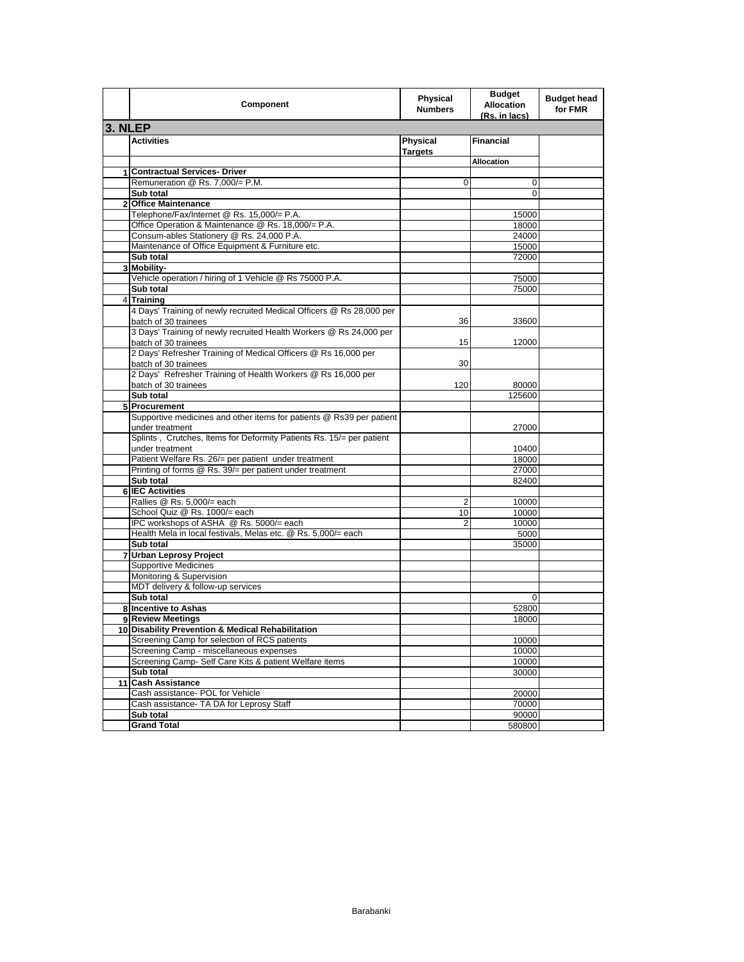|                | Component                                                                                    | <b>Physical</b><br><b>Numbers</b> | <b>Budget</b><br><b>Allocation</b><br>(Rs. in lacs) | <b>Budget head</b><br>for FMR |
|----------------|----------------------------------------------------------------------------------------------|-----------------------------------|-----------------------------------------------------|-------------------------------|
| <b>3. NLEP</b> |                                                                                              |                                   |                                                     |                               |
|                | <b>Activities</b>                                                                            | Physical<br><b>Targets</b>        | <b>Financial</b>                                    |                               |
|                |                                                                                              |                                   | <b>Allocation</b>                                   |                               |
| 1              | <b>Contractual Services- Driver</b>                                                          |                                   |                                                     |                               |
|                | Remuneration @ Rs. 7,000/= P.M.                                                              | 0                                 | 0                                                   |                               |
|                | Sub total                                                                                    |                                   | 0                                                   |                               |
| $\overline{2}$ | <b>Office Maintenance</b>                                                                    |                                   |                                                     |                               |
|                | Telephone/Fax/Internet @ Rs. 15,000/= P.A.                                                   |                                   | 15000                                               |                               |
|                | Office Operation & Maintenance @ Rs. 18,000/= P.A.                                           |                                   | 18000                                               |                               |
|                | Consum-ables Stationery @ Rs. 24,000 P.A.                                                    |                                   | 24000                                               |                               |
|                | Maintenance of Office Equipment & Furniture etc.                                             |                                   | 15000                                               |                               |
|                | Sub total                                                                                    |                                   | 72000                                               |                               |
| 3              | Mobility-                                                                                    |                                   |                                                     |                               |
|                | Vehicle operation / hiring of 1 Vehicle @ Rs 75000 P.A.                                      |                                   | 75000                                               |                               |
|                | Sub total                                                                                    |                                   | 75000                                               |                               |
| 4              | <b>Training</b>                                                                              |                                   |                                                     |                               |
|                | 4 Days' Training of newly recruited Medical Officers @ Rs 28,000 per<br>batch of 30 trainees | 36                                | 33600                                               |                               |
|                | 3 Days' Training of newly recruited Health Workers @ Rs 24,000 per<br>batch of 30 trainees   | 15                                | 12000                                               |                               |
|                | 2 Days' Refresher Training of Medical Officers @ Rs 16,000 per<br>batch of 30 trainees       | 30                                |                                                     |                               |
|                | 2 Days' Refresher Training of Health Workers @ Rs 16,000 per<br>batch of 30 trainees         | 120                               | 80000                                               |                               |
|                | Sub total                                                                                    |                                   | 125600                                              |                               |
|                | 5 Procurement                                                                                |                                   |                                                     |                               |
|                | Supportive medicines and other items for patients @ Rs39 per patient                         |                                   |                                                     |                               |
|                | under treatment                                                                              |                                   | 27000                                               |                               |
|                | Splints, Crutches, Items for Deformity Patients Rs. 15/= per patient                         |                                   |                                                     |                               |
|                | under treatment                                                                              |                                   | 10400                                               |                               |
|                | Patient Welfare Rs. 26/= per patient under treatment                                         |                                   | 18000                                               |                               |
|                | Printing of forms @ Rs. 39/= per patient under treatment                                     |                                   | 27000                                               |                               |
|                | Sub total                                                                                    |                                   | 82400                                               |                               |
|                | 6 IEC Activities                                                                             |                                   |                                                     |                               |
|                | Rallies @ Rs. 5,000/= each                                                                   | 2                                 | 10000                                               |                               |
|                | School Quiz @ Rs. 1000/= each                                                                | 10                                | 10000                                               |                               |
|                | IPC workshops of ASHA @ Rs. 5000/= each                                                      | $\overline{2}$                    | 10000                                               |                               |
|                | Health Mela in local festivals, Melas etc. @ Rs. 5,000/= each                                |                                   | 5000                                                |                               |
|                | Sub total                                                                                    |                                   | 35000                                               |                               |
| 7              | <b>Urban Leprosy Project</b>                                                                 |                                   |                                                     |                               |
|                | <b>Supportive Medicines</b>                                                                  |                                   |                                                     |                               |
|                | Monitoring & Supervision                                                                     |                                   |                                                     |                               |
|                | MDT delivery & follow-up services                                                            |                                   |                                                     |                               |
|                | Sub total                                                                                    |                                   | 0                                                   |                               |
|                | 8 Incentive to Ashas                                                                         |                                   | 52800                                               |                               |
|                | 9 Review Meetings                                                                            |                                   | 18000                                               |                               |
|                | 10 Disability Prevention & Medical Rehabilitation                                            |                                   |                                                     |                               |
|                | Screening Camp for selection of RCS patients                                                 |                                   | 10000                                               |                               |
|                | Screening Camp - miscellaneous expenses                                                      |                                   | 10000                                               |                               |
|                | Screening Camp- Self Care Kits & patient Welfare items                                       |                                   | 10000                                               |                               |
|                | Sub total                                                                                    |                                   | 30000                                               |                               |
|                | 11 Cash Assistance                                                                           |                                   |                                                     |                               |
|                | Cash assistance- POL for Vehicle                                                             |                                   | 20000                                               |                               |
|                | Cash assistance- TA DA for Leprosy Staff                                                     |                                   | 70000                                               |                               |
|                | Sub total                                                                                    |                                   | 90000                                               |                               |
|                | <b>Grand Total</b>                                                                           |                                   | 580800                                              |                               |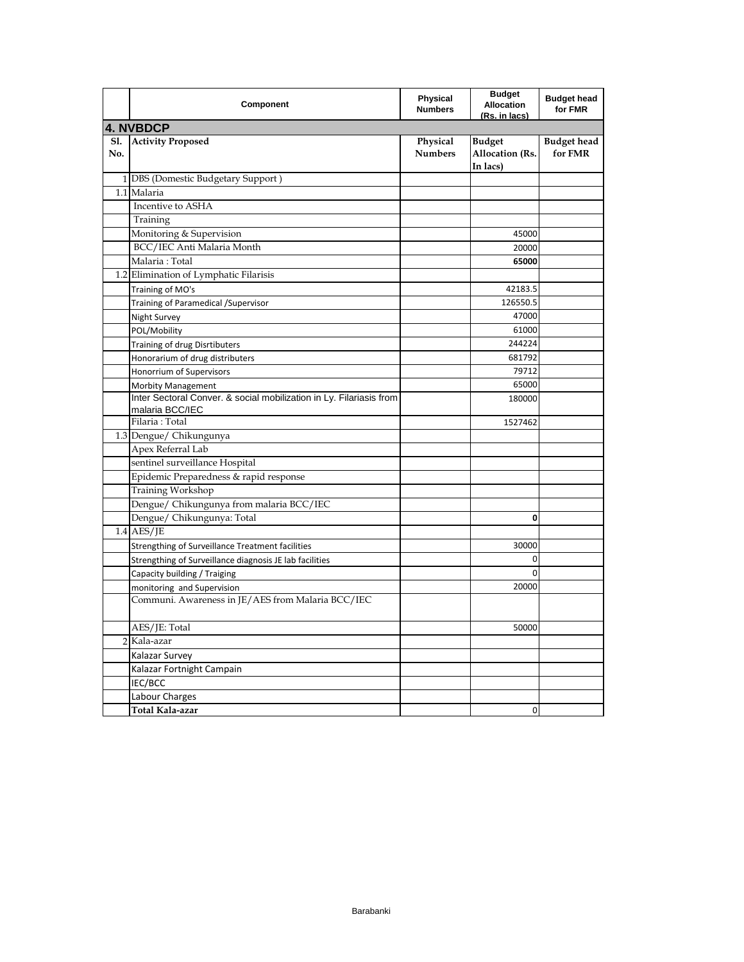|                | Component                                                                              | Physical<br><b>Numbers</b> | <b>Budget</b><br><b>Allocation</b><br>(Rs. in lacs) | <b>Budget head</b><br>for FMR |
|----------------|----------------------------------------------------------------------------------------|----------------------------|-----------------------------------------------------|-------------------------------|
|                | <b>4. NVBDCP</b>                                                                       |                            |                                                     |                               |
| S1.<br>No.     | <b>Activity Proposed</b>                                                               | Physical<br><b>Numbers</b> | <b>Budget</b><br>Allocation (Rs.<br>In lacs)        | <b>Budget head</b><br>for FMR |
|                | 1 DBS (Domestic Budgetary Support)                                                     |                            |                                                     |                               |
|                | 1.1 Malaria                                                                            |                            |                                                     |                               |
|                | Incentive to ASHA                                                                      |                            |                                                     |                               |
|                | Training                                                                               |                            |                                                     |                               |
|                | Monitoring & Supervision                                                               |                            | 45000                                               |                               |
|                | BCC/IEC Anti Malaria Month                                                             |                            | 20000                                               |                               |
|                | Malaria: Total                                                                         |                            | 65000                                               |                               |
|                | 1.2 Elimination of Lymphatic Filarisis                                                 |                            |                                                     |                               |
|                | Training of MO's                                                                       |                            | 42183.5                                             |                               |
|                | Training of Paramedical / Supervisor                                                   |                            | 126550.5                                            |                               |
|                | Night Survey                                                                           |                            | 47000                                               |                               |
|                | POL/Mobility                                                                           |                            | 61000                                               |                               |
|                | Training of drug Disrtibuters                                                          |                            | 244224                                              |                               |
|                | Honorarium of drug distributers                                                        |                            | 681792                                              |                               |
|                | Honorrium of Supervisors                                                               |                            | 79712                                               |                               |
|                | <b>Morbity Management</b>                                                              |                            | 65000                                               |                               |
|                | Inter Sectoral Conver. & social mobilization in Ly. Filariasis from<br>malaria BCC/IEC |                            | 180000                                              |                               |
|                | Filaria: Total                                                                         |                            | 1527462                                             |                               |
|                | 1.3 Dengue/ Chikungunya                                                                |                            |                                                     |                               |
|                | Apex Referral Lab                                                                      |                            |                                                     |                               |
|                | sentinel surveillance Hospital                                                         |                            |                                                     |                               |
|                | Epidemic Preparedness & rapid response                                                 |                            |                                                     |                               |
|                | Training Workshop                                                                      |                            |                                                     |                               |
|                | Dengue/ Chikungunya from malaria BCC/IEC                                               |                            |                                                     |                               |
|                | Dengue/ Chikungunya: Total                                                             |                            | $\mathbf 0$                                         |                               |
|                | $1.4$ AES/JE                                                                           |                            |                                                     |                               |
|                | Strengthing of Surveillance Treatment facilities                                       |                            | 30000                                               |                               |
|                | Strengthing of Surveillance diagnosis JE lab facilities                                |                            | 0                                                   |                               |
|                | Capacity building / Traiging                                                           |                            | $\Omega$                                            |                               |
|                | monitoring and Supervision                                                             |                            | 20000                                               |                               |
|                | Communi. Awareness in JE/AES from Malaria BCC/IEC                                      |                            |                                                     |                               |
|                | AES/JE: Total                                                                          |                            | 50000                                               |                               |
| $\overline{2}$ | Kala-azar                                                                              |                            |                                                     |                               |
|                | Kalazar Survey                                                                         |                            |                                                     |                               |
|                | Kalazar Fortnight Campain                                                              |                            |                                                     |                               |
|                | IEC/BCC                                                                                |                            |                                                     |                               |
|                | Labour Charges                                                                         |                            |                                                     |                               |
|                | Total Kala-azar                                                                        |                            | $\mathbf 0$                                         |                               |